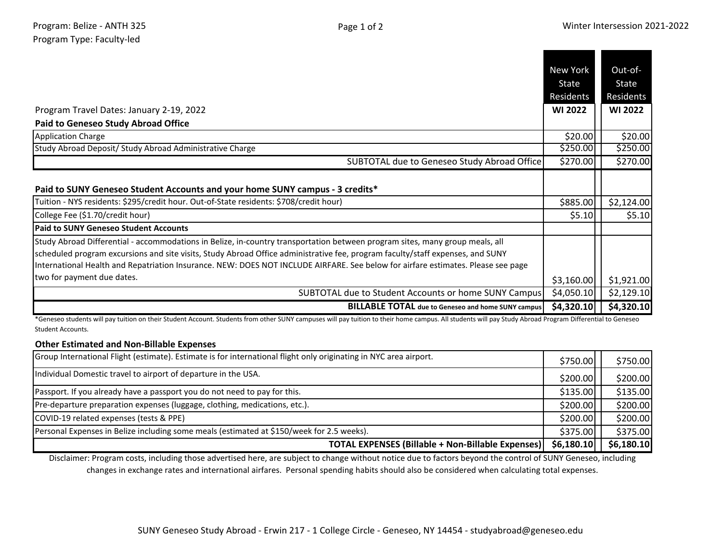| Program Travel Dates: January 2-19, 2022<br><b>Paid to Geneseo Study Abroad Office</b>                                                                                                                                                                                                                                                                                                             | New York<br>State<br>Residents<br><b>WI 2022</b> | Out-of-<br>State<br>Residents<br><b>WI 2022</b> |
|----------------------------------------------------------------------------------------------------------------------------------------------------------------------------------------------------------------------------------------------------------------------------------------------------------------------------------------------------------------------------------------------------|--------------------------------------------------|-------------------------------------------------|
| <b>Application Charge</b>                                                                                                                                                                                                                                                                                                                                                                          | \$20.00                                          | \$20.00                                         |
| Study Abroad Deposit/ Study Abroad Administrative Charge                                                                                                                                                                                                                                                                                                                                           | 5250.00                                          | \$250.00                                        |
| SUBTOTAL due to Geneseo Study Abroad Office                                                                                                                                                                                                                                                                                                                                                        | \$270.00                                         | \$270.00                                        |
| Paid to SUNY Geneseo Student Accounts and your home SUNY campus - 3 credits*<br>Tuition - NYS residents: \$295/credit hour. Out-of-State residents: \$708/credit hour)                                                                                                                                                                                                                             | \$885.00                                         | \$2,124.00                                      |
| College Fee (\$1.70/credit hour)                                                                                                                                                                                                                                                                                                                                                                   | \$5.10                                           | \$5.10                                          |
| <b>Paid to SUNY Geneseo Student Accounts</b>                                                                                                                                                                                                                                                                                                                                                       |                                                  |                                                 |
| Study Abroad Differential - accommodations in Belize, in-country transportation between program sites, many group meals, all<br>scheduled program excursions and site visits, Study Abroad Office administrative fee, program faculty/staff expenses, and SUNY<br>International Health and Repatriation Insurance. NEW: DOES NOT INCLUDE AIRFARE. See below for airfare estimates. Please see page |                                                  |                                                 |
| two for payment due dates.                                                                                                                                                                                                                                                                                                                                                                         | \$3,160.00                                       | \$1,921.00                                      |
| SUBTOTAL due to Student Accounts or home SUNY Campus                                                                                                                                                                                                                                                                                                                                               | \$4,050.10                                       | \$2,129.10                                      |
| <b>BILLABLE TOTAL</b> due to Geneseo and home SUNY campus                                                                                                                                                                                                                                                                                                                                          | \$4,320.10                                       | \$4,320.10                                      |

\*Geneseo students will pay tuition on their Student Account. Students from other SUNY campuses will pay tuition to their home campus. All students will pay Study Abroad Program Differential to Geneseo Student Accounts.

## **Other Estimated and Non-Billable Expenses**

| Group International Flight (estimate). Estimate is for international flight only originating in NYC area airport. | \$750.00   | \$750.00   |
|-------------------------------------------------------------------------------------------------------------------|------------|------------|
| Individual Domestic travel to airport of departure in the USA.                                                    | \$200.00]  | \$200.00   |
| Passport. If you already have a passport you do not need to pay for this.                                         | \$135.00   | \$135.00   |
| Pre-departure preparation expenses (luggage, clothing, medications, etc.).                                        | \$200.00   | \$200.00   |
| COVID-19 related expenses (tests & PPE)                                                                           | \$200.00   | \$200.00   |
| Personal Expenses in Belize including some meals (estimated at \$150/week for 2.5 weeks).                         | \$375.00   | \$375.00   |
| <b>TOTAL EXPENSES (Billable + Non-Billable Expenses)</b>                                                          | \$6,180.10 | \$6,180.10 |

Disclaimer: Program costs, including those advertised here, are subject to change without notice due to factors beyond the control of SUNY Geneseo, including changes in exchange rates and international airfares. Personal spending habits should also be considered when calculating total expenses.